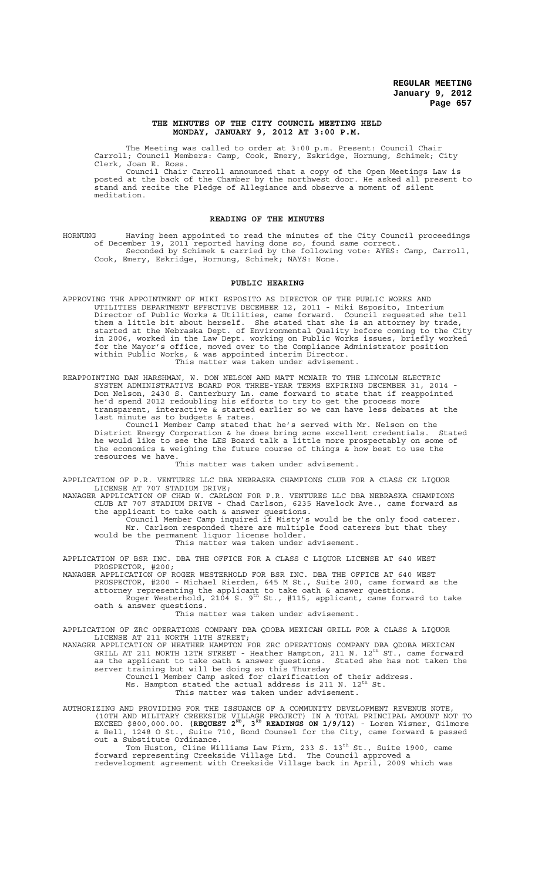### **THE MINUTES OF THE CITY COUNCIL MEETING HELD MONDAY, JANUARY 9, 2012 AT 3:00 P.M.**

The Meeting was called to order at 3:00 p.m. Present: Council Chair Carroll; Council Members: Camp, Cook, Emery, Eskridge, Hornung, Schimek; City Clerk, Joan E. Ross.

Council Chair Carroll announced that a copy of the Open Meetings Law is posted at the back of the Chamber by the northwest door. He asked all present to stand and recite the Pledge of Allegiance and observe a moment of silent meditation.

#### **READING OF THE MINUTES**

HORNUNG Having been appointed to read the minutes of the City Council proceedings of December 19, 2011 reported having done so, found same correct. Seconded by Schimek & carried by the following vote: AYES: Camp, Carroll, Cook, Emery, Eskridge, Hornung, Schimek; NAYS: None.

## **PUBLIC HEARING**

- APPROVING THE APPOINTMENT OF MIKI ESPOSITO AS DIRECTOR OF THE PUBLIC WORKS AND UTILITIES DEPARTMENT EFFECTIVE DECEMBER 12, 2011 - Miki Esposito, Interium Director of Public Works & Utilities, came forward. Council requested she tell them a little bit about herself. She stated that she is an attorney by trade, started at the Nebraska Dept. of Environmental Quality before coming to the City in 2006, worked in the Law Dept. working on Public Works issues, briefly worked for the Mayor's office, moved over to the Compliance Administrator position within Public Works, & was appointed interim Director. This matter was taken under advisement.
- REAPPOINTING DAN HARSHMAN, W. DON NELSON AND MATT MCNAIR TO THE LINCOLN ELECTRIC SYSTEM ADMINISTRATIVE BOARD FOR THREE-YEAR TERMS EXPIRING DECEMBER 31, 2014 - Don Nelson, 2430 S. Canterbury Ln. came forward to state that if reappointed he'd spend 2012 redoubling his efforts to try to get the process more transparent, interactive & started earlier so we can have less debates at the last minute as to budgets & rates.

Council Member Camp stated that he's served with Mr. Nelson on the District Energy Corporation & he does bring some excellent credentials. Stated he would like to see the LES Board talk a little more prospectably on some of the economics & weighing the future course of things  $\&$  how best to use the resources we have.

This matter was taken under advisement.

APPLICATION OF P.R. VENTURES LLC DBA NEBRASKA CHAMPIONS CLUB FOR A CLASS CK LIQUOR 1. THISTLES AND DEST.

MANAGER APPLICATION OF CHAD W. CARLSON FOR P.R. VENTURES LLC DBA NEBRASKA CHAMPIONS CLUB AT 707 STADIUM DRIVE - Chad Carlson, 6235 Havelock Ave., came forward as the applicant to take oath & answer questions.

Council Member Camp inquired if Misty's would be the only food caterer. Mr. Carlson responded there are multiple food caterers but that they would be the permanent liquor license holder.

This matter was taken under advisement.

APPLICATION OF BSR INC. DBA THE OFFICE FOR A CLASS C LIQUOR LICENSE AT 640 WEST PROSPECTOR, #200;

MANAGER APPLICATION OF ROGER WESTERHOLD FOR BSR INC. DBA THE OFFICE AT 640 WEST PROSPECTOR, #200 - Michael Rierden, 645 M St., Suite 200, came forward as the attorney representing the applicant to take oath & answer questions.<br>Roger Westerhold, 2104 S. 9<sup>th</sup> St., #115, applicant, came forward to take

oath & answer questions.

This matter was taken under advisement.

APPLICATION OF ZRC OPERATIONS COMPANY DBA QDOBA MEXICAN GRILL FOR A CLASS A LIQUOR LICENSE AT 211 NORTH 11TH STREET;

MANAGER APPLICATION OF HEATHER HAMPTON FOR ZRC OPERATIONS COMPANY DBA QDOBA MEXICAN<br>GRILL AT 211 NORTH 12TH STREET - Heather Hampton, 211 N. 12<sup>th</sup> ST., came forward as the applicant to take oath & answer questions. Stated she has not taken the server training but will be doing so this Thursday

Council Member Camp asked for clarification of their address.<br>Ms. Hampton stated the actual address is 211 N. 12<sup>th</sup> St.

This matter was taken under advisement.

AUTHORIZING AND PROVIDING FOR THE ISSUANCE OF A COMMUNITY DEVELOPMENT REVENUE NOTE, (10TH AND MILITARY CREEKSIDE VILLAGE PROJECT) IN A TOTAL PRINCIPAL AMOUNT NOT TO<br>EXCEED \$800,000.00. **(REQUEST 2<sup>RD</sup>, 3<sup>RD</sup> READINGS ON 1/9/12)** - Loren Wismer, Gilmore & Bell, 1248 O St., Suite 710, Bond Counsel for the City, came forward & passed out a Substitute Ordinance.

Tom Huston, Cline Williams Law Firm, 233 S. 13<sup>th</sup> St., Suite 1900, came forward representing Creekside Village Ltd. The Council approved a redevelopment agreement with Creekside Village back in April, 2009 which was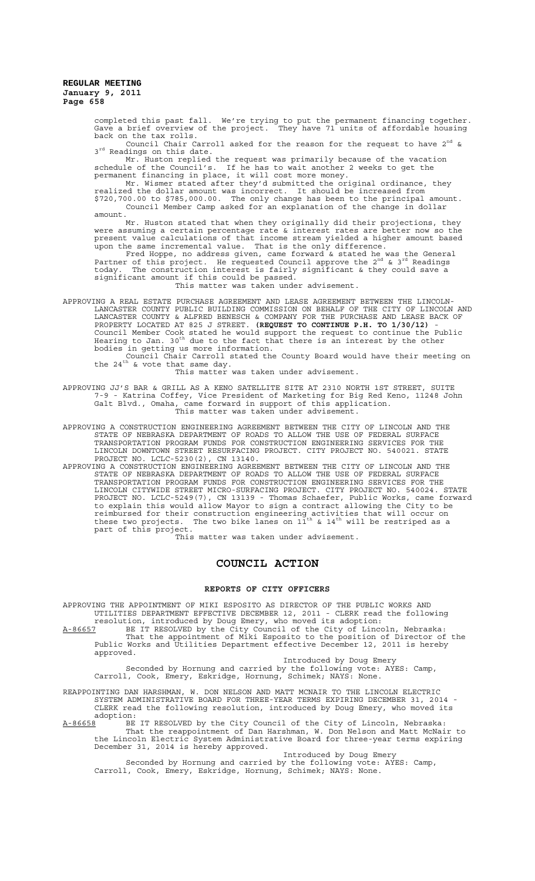> completed this past fall. We're trying to put the permanent financing together. Gave a brief overview of the project. They have 71 units of affordable housing back on the tax rolls.

Council Chair Carroll asked for the reason for the request to have 2<sup>nd</sup> & 3<sup>rd</sup> Readings on this date.

Mr. Huston replied the request was primarily because of the vacation schedule of the Council's. If he has to wait another 2 weeks to get the permanent financing in place, it will cost more money.

Mr. Wismer stated after they'd submitted the original ordinance, they realized the dollar amount was incorrect. It should be increased from \$720,700.00 to \$785,000.00. The only change has been to the principal amount. Council Member Camp asked for an explanation of the change in dollar amount.

Mr. Huston stated that when they originally did their projections, they were assuming a certain percentage rate & interest rates are better now so the present value calculations of that income stream yielded a higher amount based upon the same incremental value. That is the only difference.

Fred Hoppe, no address given, came forward & stated he was the General<br>Partner of this project. He requested Council approve the 2<sup>nd</sup> & 3<sup>rd</sup> Readings today. The construction interest is fairly significant & they could save a significant amount if this could be passed.

This matter was taken under advisement.

APPROVING A REAL ESTATE PURCHASE AGREEMENT AND LEASE AGREEMENT BETWEEN THE LINCOLN-LANCASTER COUNTY PUBLIC BUILDING COMMISSION ON BEHALF OF THE CITY OF LINCOLN AND LANCASTER COUNTY & ALFRED BENESCH & COMPANY FOR THE PURCHASE AND LEASE BACK OF PROPERTY LOCATED AT 825 J STREET. **(REQUEST TO CONTINUE P.H. TO 1/30/12)** - Council Member Cook stated he would support the request to continue the Public<br>Hearing to Jan. 30<sup>th</sup> due to the fact that there is an interest by the other bodies in getting us more information.

Council Chair Carroll stated the County Board would have their meeting on<br>the 24<sup>th</sup> & vote that same day.

This matter was taken under advisement.

APPROVING JJ'S BAR & GRILL AS A KENO SATELLITE SITE AT 2310 NORTH 1ST STREET, SUITE 7-9 - Katrina Coffey, Vice President of Marketing for Big Red Keno, 11248 John Galt Blvd., Omaha, came forward in support of this application. This matter was taken under advisement.

APPROVING A CONSTRUCTION ENGINEERING AGREEMENT BETWEEN THE CITY OF LINCOLN AND THE STATE OF NEBRASKA DEPARTMENT OF ROADS TO ALLOW THE USE OF FEDERAL SURFACE TRANSPORTATION PROGRAM FUNDS FOR CONSTRUCTION ENGINEERING SERVICES FOR THE LINCOLN DOWNTOWN STREET RESURFACING PROJECT. CITY PROJECT NO. 540021. STATE PROJECT NO. LCLC-5230(2), CN 13140.

APPROVING A CONSTRUCTION ENGINEERING AGREEMENT BETWEEN THE CITY OF LINCOLN AND THE STATE OF NEBRASKA DEPARTMENT OF ROADS TO ALLOW THE USE OF FEDERAL SURFACE TRANSPORTATION PROGRAM FUNDS FOR CONSTRUCTION ENGINEERING SERVICES FOR THE LINCOLN CITYWIDE STREET MICRO-SURFACING PROJECT. CITY PROJECT NO. 540024. STATE PROJECT NO. LCLC-5249(7), CN 13139 - Thomas Schaefer, Public Works, came forward to explain this would allow Mayor to sign a contract allowing the City to be reimbursed for their construction engineering activities that will occur on<br>these two projects. The two bike lanes on 11<sup>th</sup> & 14<sup>th</sup> will be restriped as a part of this project.

This matter was taken under advisement.

## **COUNCIL ACTION**

#### **REPORTS OF CITY OFFICERS**

APPROVING THE APPOINTMENT OF MIKI ESPOSITO AS DIRECTOR OF THE PUBLIC WORKS AND UTILITIES DEPARTMENT EFFECTIVE DECEMBER 12, 2011 - CLERK read the following resolution, introduced by Doug Emery, who moved its adoption:

A-86657 BE IT RESOLVED by the City Council of the City of Lincoln, Nebraska: That the appointment of Miki Esposito to the position of Director of the Public Works and Utilities Department effective December 12, 2011 is hereby approved.

Introduced by Doug Emery

Seconded by Hornung and carried by the following vote: AYES: Camp, Carroll, Cook, Emery, Eskridge, Hornung, Schimek; NAYS: None.

REAPPOINTING DAN HARSHMAN, W. DON NELSON AND MATT MCNAIR TO THE LINCOLN ELECTRIC SYSTEM ADMINISTRATIVE BOARD FOR THREE-YEAR TERMS EXPIRING DECEMBER 31, 2014 - CLERK read the following resolution, introduced by Doug Emery, who moved its

adoption:<br>A-86658 BE A-86658 BE IT RESOLVED by the City Council of the City of Lincoln, Nebraska: That the reappointment of Dan Harshman, W. Don Nelson and Matt McNair to the Lincoln Electric System Administrative Board for three-year terms expiring December 31, 2014 is hereby approved.

Introduced by Doug Emery

Seconded by Hornung and carried by the following vote: AYES: Camp, Carroll, Cook, Emery, Eskridge, Hornung, Schimek; NAYS: None.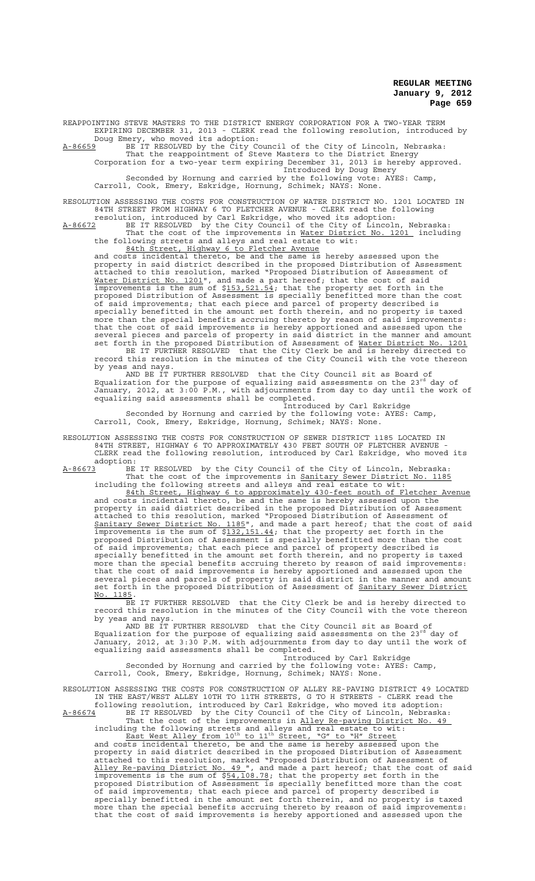REAPPOINTING STEVE MASTERS TO THE DISTRICT ENERGY CORPORATION FOR A TWO-YEAR TERM EXPIRING DECEMBER 31, 2013 - CLERK read the following resolution, introduced by Doug Emery, who moved its adoption:

A-86659 BE IT RESOLVED by the City Council of the City of Lincoln, Nebraska: That the reappointment of Steve Masters to the District Energy Corporation for a two-year term expiring December 31, 2013 is hereby approved.

Introduced by Doug Emery Seconded by Hornung and carried by the following vote: AYES: Camp,

Carroll, Cook, Emery, Eskridge, Hornung, Schimek; NAYS: None.

RESOLUTION ASSESSING THE COSTS FOR CONSTRUCTION OF WATER DISTRICT NO. 1201 LOCATED IN 84TH STREET FROM HIGHWAY 6 TO FLETCHER AVENUE - CLERK read the following

resolution, introduced by Carl Eskridge, who moved its adoption: A-86672 BE IT RESOLVED by the City Council of the City of Lincoln, Nebraska:

That the cost of the improvements in <u>Water District No. 1201</u> including the following streets and alleys and real estate to wit: 84th Street, Highway 6 to Fletcher Avenue

and costs incidental thereto, be and the same is hereby assessed upon the property in said district described in the proposed Distribution of Assessment attached to this resolution, marked "Proposed Distribution of Assessment of Water District No. 1201", and made a part hereof; that the cost of said improvements is the sum of \$153,521.54; that the property set forth in the proposed Distribution of Assessment is specially benefitted more than the cost of said improvements; that each piece and parcel of property described is specially benefitted in the amount set forth therein, and no property is taxed more than the special benefits accruing thereto by reason of said improvements: that the cost of said improvements is hereby apportioned and assessed upon the several pieces and parcels of property in said district in the manner and amount set forth in the proposed Distribution of Assessment of Water District No. 1201

BE IT FURTHER RESOLVED that the City Clerk be and is hereby directed to record this resolution in the minutes of the City Council with the vote thereon by yeas and nays.

AND BE IT FURTHER RESOLVED that the City Council sit as Board of<br>Equalization for the purpose of equalizing said assessments on the 23<sup>rd</sup> day of January, 2012, at 3:00 P.M., with adjournments from day to day until the work of equalizing said assessments shall be completed.

Introduced by Carl Eskridge Seconded by Hornung and carried by the following vote: AYES: Camp, Carroll, Cook, Emery, Eskridge, Hornung, Schimek; NAYS: None.

RESOLUTION ASSESSING THE COSTS FOR CONSTRUCTION OF SEWER DISTRICT 1185 LOCATED IN 84TH STREET, HIGHWAY 6 TO APPROXIMATELY 430 FEET SOUTH OF FLETCHER AVENUE - CLERK read the following resolution, introduced by Carl Eskridge, who moved its

adoption:<br><u>A-86673</u> BE A-86673 BE IT RESOLVED by the City Council of the City of Lincoln, Nebraska: That the cost of the improvements in Sanitary Sewer District No. 1185

including the following streets and alleys and real estate to wit: 84th Street, Highway 6 to approximately 430-feet south of Fletcher Avenue and costs incidental thereto, be and the same is hereby assessed upon the property in said district described in the proposed Distribution of Assessment attached to this resolution, marked "Proposed Distribution of Assessment of Sanitary Sewer District No. 1185", and made a part hereof; that the cost of said improvements is the sum of \$132,151.44; that the property set forth in the proposed Distribution of Assessment is specially benefitted more than the cost of said improvements; that each piece and parcel of property described is specially benefitted in the amount set forth therein, and no property is taxed more than the special benefits accruing thereto by reason of said improvements: that the cost of said improvements is hereby apportioned and assessed upon the several pieces and parcels of property in said district in the manner and amount set forth in the proposed Distribution of Assessment of Sanitary Sewer District No. 1185.

BE IT FURTHER RESOLVED that the City Clerk be and is hereby directed to record this resolution in the minutes of the City Council with the vote thereon by yeas and nays.

AND BE IT FURTHER RESOLVED that the City Council sit as Board of<br>Equalization for the purpose of equalizing said assessments on the 23<sup>rd</sup> day of January, 2012, at 3:30 P.M. with adjournments from day to day until the work of equalizing said assessments shall be completed. Introduced by Carl Eskridge

Seconded by Hornung and carried by the following vote: AYES: Camp, Seconded by Hornung and carried by the following vote: AYES: Camp,<br>Carroll, Cook, Emery, Eskridge, Hornung, Schimek; NAYS: None.

RESOLUTION ASSESSING THE COSTS FOR CONSTRUCTION OF ALLEY RE-PAVING DISTRICT 49 LOCATED IN THE EAST/WEST ALLEY 10TH TO 11TH STREETS, G TO H STREETS - CLERK read the following resolution, introduced by Carl Eskridge, who moved its adoption:

A-86674 BE IT RESOLVED by the City Council of the City of Lincoln, Nebraska: That the cost of the improvements in Alley Re-paving District No. 49 including the following streets and alleys and real estate to wit:<br>East West Alley from 10<sup>th</sup> to 11<sup>th</sup> Street, "G" to "H" Street

and costs incidental thereto, be and the same is hereby assessed upon the property in said district described in the proposed Distribution of Assessment attached to this resolution, marked "Proposed Distribution of Assessment of Alley Re-paving District No. 49 ", and made a part hereof; that the cost of said improvements is the sum of  $$54,108.78$ ; that the property set forth in the proposed Distribution of Assessment is specially benefitted more than the cost of said improvements; that each piece and parcel of property described is specially benefitted in the amount set forth therein, and no property is taxed more than the special benefits accruing thereto by reason of said improvements: that the cost of said improvements is hereby apportioned and assessed upon the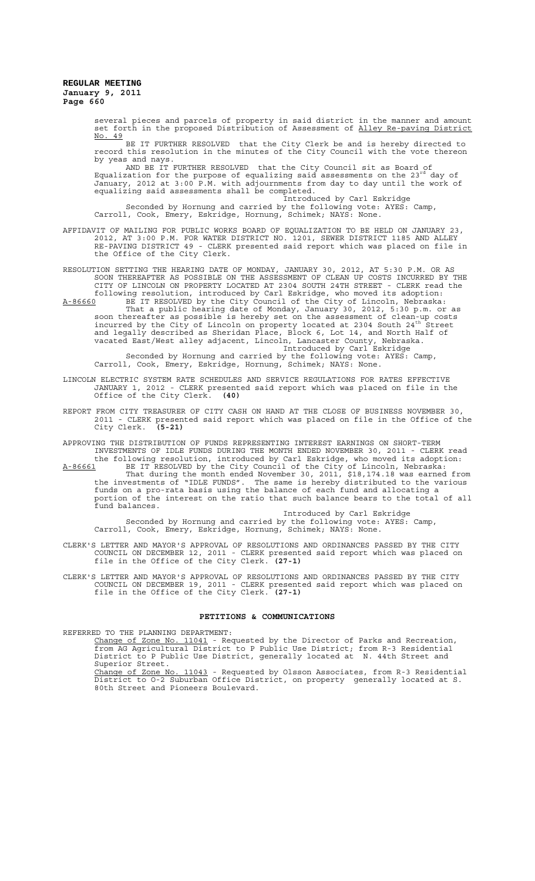> several pieces and parcels of property in said district in the manner and amount set forth in the proposed Distribution of Assessment of Alley Re-paving District No. 49

> BE IT FURTHER RESOLVED that the City Clerk be and is hereby directed to record this resolution in the minutes of the City Council with the vote thereon by yeas and nays.

AND BE IT FURTHER RESOLVED that the City Council sit as Board of<br>Equalization for the purpose of equalizing said assessments on the 23<sup>rd</sup> day of January, 2012 at 3:00 P.M. with adjournments from day to day until the work of equalizing said assessments shall be completed. Introduced by Carl Eskridge

Seconded by Hornung and carried by the following vote: AYES: Camp, Carroll, Cook, Emery, Eskridge, Hornung, Schimek; NAYS: None.

AFFIDAVIT OF MAILING FOR PUBLIC WORKS BOARD OF EQUALIZATION TO BE HELD ON JANUARY 23, 2012, AT 3:00 P.M. FOR WATER DISTRICT NO. 1201, SEWER DISTRICT 1185 AND ALLEY RE-PAVING DISTRICT 49 - CLERK presented said report which was placed on file in the Office of the City Clerk.

RESOLUTION SETTING THE HEARING DATE OF MONDAY, JANUARY 30, 2012, AT 5:30 P.M. OR AS SOON THEREAFTER AS POSSIBLE ON THE ASSESSMENT OF CLEAN UP COSTS INCURRED BY THE CITY OF LINCOLN ON PROPERTY LOCATED AT 2304 SOUTH 24TH STREET - CLERK read the following resolution, introduced by Carl Eskridge, who moved its adoption:

A-86660 BE IT RESOLVED by the City Council of the City of Lincoln, Nebraska: That a public hearing date of Monday, January 30, 2012, 5:30 p.m. or as soon thereafter as possible is hereby set on the assessment of clean-up costs<br>incurred by the City of Lincoln on property located at 2304 South 24<sup>th</sup> Street and legally described as Sheridan Place, Block 6, Lot 14, and North Half of vacated East/West alley adjacent, Lincoln, Lancaster County, Nebraska. Introduced by Carl Eskridge

Seconded by Hornung and carried by the following vote: AYES: Camp, Carroll, Cook, Emery, Eskridge, Hornung, Schimek; NAYS: None.

- LINCOLN ELECTRIC SYSTEM RATE SCHEDULES AND SERVICE REGULATIONS FOR RATES EFFECTIVE JANUARY 1, 2012 - CLERK presented said report which was placed on file in the Office of the City Clerk. **(40)**
- REPORT FROM CITY TREASURER OF CITY CASH ON HAND AT THE CLOSE OF BUSINESS NOVEMBER 30, 2011 - CLERK presented said report which was placed on file in the Office of the City Clerk. **(5-21)**

APPROVING THE DISTRIBUTION OF FUNDS REPRESENTING INTEREST EARNINGS ON SHORT-TERM INVESTMENTS OF IDLE FUNDS DURING THE MONTH ENDED NOVEMBER 30, 2011 - CLERK read the following resolution, introduced by Carl Eskridge, who moved its adoption: A-86661 BE IT RESOLVED by the City Council of the City of Lincoln, Nebraska: That during the month ended November 30, 2011, \$18,174.18 was earned from the investments of "IDLE FUNDS". The same is hereby distributed to the various funds on a pro-rata basis using the balance of each fund and allocating a portion of the interest on the ratio that such balance bears to the total of all fund balances.

Introduced by Carl Eskridge Seconded by Hornung and carried by the following vote: AYES: Camp, Carroll, Cook, Emery, Eskridge, Hornung, Schimek; NAYS: None.

- CLERK'S LETTER AND MAYOR'S APPROVAL OF RESOLUTIONS AND ORDINANCES PASSED BY THE CITY COUNCIL ON DECEMBER 12, 2011 - CLERK presented said report which was placed on file in the Office of the City Clerk. **(27-1)**
- CLERK'S LETTER AND MAYOR'S APPROVAL OF RESOLUTIONS AND ORDINANCES PASSED BY THE CITY COUNCIL ON DECEMBER 19, 2011 - CLERK presented said report which was placed on file in the Office of the City Clerk. **(27-1)**

### **PETITIONS & COMMUNICATIONS**

REFERRED TO THE PLANNING DEPARTMENT:

80th Street and Pioneers Boulevard.

Change of Zone No. 11041 - Requested by the Director of Parks and Recreation, from AG Agricultural District to P Public Use District; from R-3 Residential District to P Public Use District, generally located at N. 44th Street and Superior Street. Change of Zone No. 11043 - Requested by Olsson Associates, from R-3 Residential District to O-2 Suburban Office District, on property generally located at S.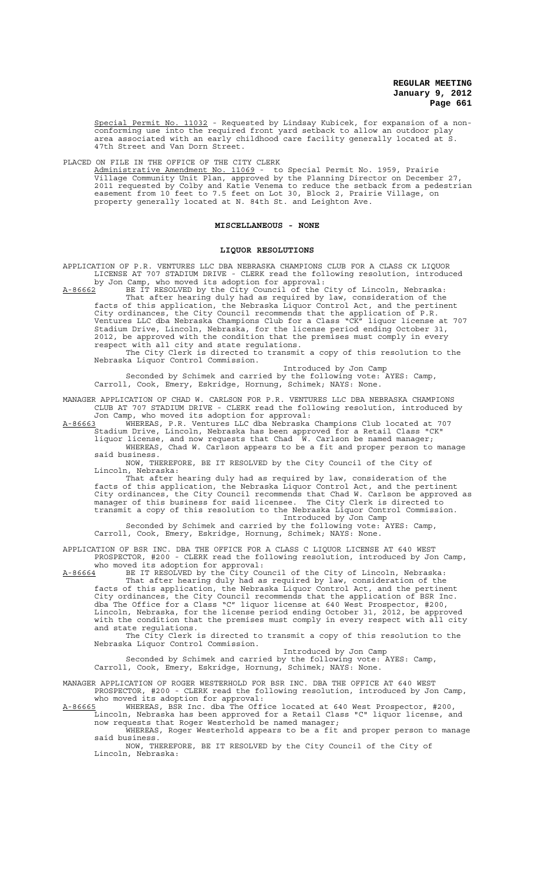Special Permit No. 11032 - Requested by Lindsay Kubicek, for expansion of a nonconforming use into the required front yard setback to allow an outdoor play area associated with an early childhood care facility generally located at S. 47th Street and Van Dorn Street.

PLACED ON FILE IN THE OFFICE OF THE CITY CLERK

Administrative Amendment No. 11069 - to Special Permit No. 1959, Prairie Village Community Unit Plan, approved by the Planning Director on December 27, 2011 requested by Colby and Katie Venema to reduce the setback from a pedestrian easement from 10 feet to 7.5 feet on Lot 30, Block 2, Prairie Village, on property generally located at N. 84th St. and Leighton Ave.

## **MISCELLANEOUS - NONE**

# **LIQUOR RESOLUTIONS**

APPLICATION OF P.R. VENTURES LLC DBA NEBRASKA CHAMPIONS CLUB FOR A CLASS CK LIQUOR LICENSE AT 707 STADIUM DRIVE - CLERK read the following resolution, introduced by Jon Camp, who moved its adoption for approval:

A-86662 BE IT RESOLVED by the City Council of the City of Lincoln, Nebraska: That after hearing duly had as required by law, consideration of the facts of this application, the Nebraska Liquor Control Act, and the pertinent City ordinances, the City Council recommends that the application of P.R. Ventures LLC dba Nebraska Champions Club for a Class "CK" liquor license at 707 Stadium Drive, Lincoln, Nebraska, for the license period ending October 31, 2012, be approved with the condition that the premises must comply in every respect with all city and state regulations. The City Clerk is directed to transmit a copy of this resolution to the

Nebraska Liquor Control Commission. Introduced by Jon Camp

Seconded by Schimek and carried by the following vote: AYES: Camp, Carroll, Cook, Emery, Eskridge, Hornung, Schimek; NAYS: None.

MANAGER APPLICATION OF CHAD W. CARLSON FOR P.R. VENTURES LLC DBA NEBRASKA CHAMPIONS CLUB AT 707 STADIUM DRIVE - CLERK read the following resolution, introduced by Jon Camp, who moved its adoption for approval:

A-86663 WHEREAS, P.R. Ventures LLC dba Nebraska Champions Club located at 707 Stadium Drive, Lincoln, Nebraska has been approved for a Retail Class "CK"

liquor license, and now requests that Chad W. Carlson be named manager; WHEREAS, Chad W. Carlson appears to be a fit and proper person to manage said business.

NOW, THEREFORE, BE IT RESOLVED by the City Council of the City of Lincoln, Nebraska:

That after hearing duly had as required by law, consideration of the facts of this application, the Nebraska Liquor Control Act, and the pertinent City ordinances, the City Council recommends that Chad W. Carlson be approved as manager of this business for said licensee. The City Clerk is directed to transmit a copy of this resolution to the Nebraska Liquor Control Commission. Introduced by Jon Camp

Seconded by Schimek and carried by the following vote: AYES: Camp, Carroll, Cook, Emery, Eskridge, Hornung, Schimek; NAYS: None.

APPLICATION OF BSR INC. DBA THE OFFICE FOR A CLASS C LIQUOR LICENSE AT 640 WEST PROSPECTOR, #200 - CLERK read the following resolution, introduced by Jon Camp,

who moved its adoption for approval: A-86664 BE IT RESOLVED by the City Council of the City of Lincoln, Nebraska: That after hearing duly had as required by law, consideration of the facts of this application, the Nebraska Liquor Control Act, and the pertinent City ordinances, the City Council recommends that the application of BSR Inc. dba The Office for a Class "C" liquor license at 640 West Prospector, #200, Lincoln, Nebraska, for the license period ending October 31, 2012, be approved with the condition that the premises must comply in every respect with all city and state regulations.

The City Clerk is directed to transmit a copy of this resolution to the Nebraska Liquor Control Commission.

Introduced by Jon Camp Seconded by Schimek and carried by the following vote: AYES: Camp, Carroll, Cook, Emery, Eskridge, Hornung, Schimek; NAYS: None.

MANAGER APPLICATION OF ROGER WESTERHOLD FOR BSR INC. DBA THE OFFICE AT 640 WEST PROSPECTOR, #200 - CLERK read the following resolution, introduced by Jon Camp, who moved its adoption for approval:

A-86665 WHEREAS, BSR Inc. dba The Office located at 640 West Prospector, #200, Lincoln, Nebraska has been approved for a Retail Class "C" liquor license, and now requests that Roger Westerhold be named manager;

WHEREAS, Roger Westerhold appears to be a fit and proper person to manage said business.

NOW, THEREFORE, BE IT RESOLVED by the City Council of the City of Lincoln, Nebraska: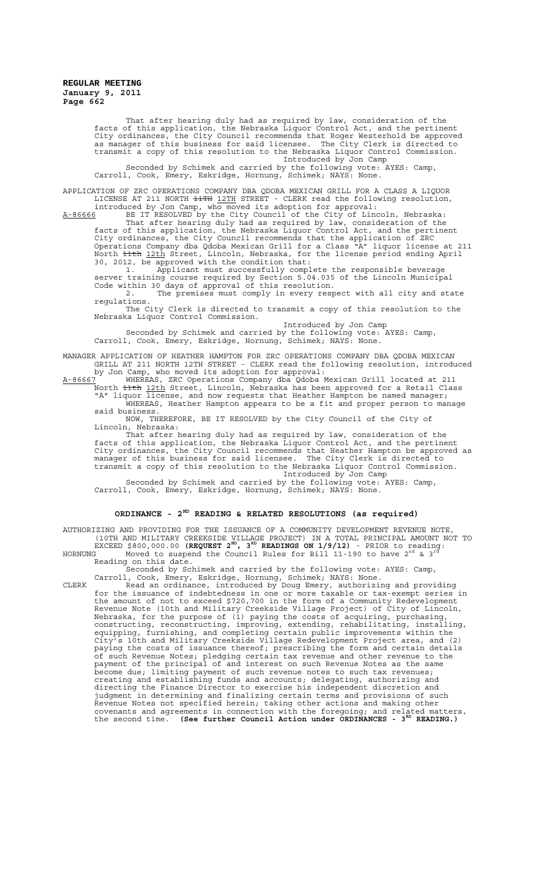That after hearing duly had as required by law, consideration of the facts of this application, the Nebraska Liquor Control Act, and the pertinent City ordinances, the City Council recommends that Roger Westerhold be approved as manager of this business for said licensee. The City Clerk is directed to transmit a copy of this resolution to the Nebraska Liquor Control Commission. Introduced by Jon Camp

Seconded by Schimek and carried by the following vote: AYES: Camp, Carroll, Cook, Emery, Eskridge, Hornung, Schimek; NAYS: None.

APPLICATION OF ZRC OPERATIONS COMPANY DBA QDOBA MEXICAN GRILL FOR A CLASS A LIQUOR LICENSE AT 211 NORTH  $\frac{12TH}{12TH}$  STREET - CLERK read the following resolution, introduced by Jon Camp, who moved its adoption for approval:

A-86666 BE IT RESOLVED by the City Council of the City of Lincoln, Nebraska: That after hearing duly had as required by law, consideration of the facts of this application, the Nebraska Liquor Control Act, and the pertinent City ordinances, the City Council recommends that the application of ZRC Operations Company dba Qdoba Mexican Grill for a Class "A" liquor license at 211 North <del>11th</del> 12th Street, Lincoln, Nebraska, for the license period ending April 30, 2012, be approved with the condition that:

1. Applicant must successfully complete the responsible beverage server training course required by Section 5.04.035 of the Lincoln Municipal Code within 30 days of approval of this resolution.

2. The premises must comply in every respect with all city and state regulations.

The City Clerk is directed to transmit a copy of this resolution to the Nebraska Liquor Control Commission. Introduced by Jon Camp

Seconded by Schimek and carried by the following vote: AYES: Camp, Carroll, Cook, Emery, Eskridge, Hornung, Schimek; NAYS: None.

MANAGER APPLICATION OF HEATHER HAMPTON FOR ZRC OPERATIONS COMPANY DBA QDOBA MEXICAN GRILL AT 211 NORTH 12TH STREET - CLERK read the following resolution, introduced by Jon Camp, who moved its adoption for approval:

A-86667 MHEREAS, ZRC Operations Company dba Qdoba Mexican Grill located at 211 North <del>11th</del> 12th Street, Lincoln, Nebraska has been approved for a Retail Class "A" liquor license, and now requests that Heather Hampton be named manager; WHEREAS, Heather Hampton appears to be a fit and proper person to manage said business.

NOW, THEREFORE, BE IT RESOLVED by the City Council of the City of Lincoln, Nebraska:

That after hearing duly had as required by law, consideration of the facts of this application, the Nebraska Liquor Control Act, and the pertinent City ordinances, the City Council recommends that Heather Hampton be approved as manager of this business for said licensee. The City Clerk is directed to transmit a copy of this resolution to the Nebraska Liquor Control Commission. Introduced by Jon Camp

Seconded by Schimek and carried by the following vote: AYES: Camp, Carroll, Cook, Emery, Eskridge, Hornung, Schimek; NAYS: None.

# **ORDINANCE - 2ND READING & RELATED RESOLUTIONS (as required)**

AUTHORIZING AND PROVIDING FOR THE ISSUANCE OF A COMMUNITY DEVELOPMENT REVENUE NOTE, (10TH AND MILITARY CREEKSIDE VILLAGE PROJECT) IN A TOTAL PRINCIPAL AMOUNT NOT TO<br>EXCEED \$800,000.00 **(REQUEST 2<sup>ND</sup>, 3<sup>RD</sup> READINGS ON 1/9/12)** - PRIOR to reading:

HORNUNG Moved to suspend the Council Rules for Bill 11-190 to have 2 $^{\rm nd}$  & 3 $^{\rm rd}$ Reading on this date.

Seconded by Schimek and carried by the following vote: AYES: Camp, Carroll, Cook, Emery, Eskridge, Hornung, Schimek; NAYS: None.

CLERK Read an ordinance, introduced by Doug Emery, authorizing and providing for the issuance of indebtedness in one or more taxable or tax-exempt series in the amount of not to exceed \$720,700 in the form of a Community Redevelopment Revenue Note (10th and Military Creekside Village Project) of City of Lincoln, Nebraska, for the purpose of (1) paying the costs of acquiring, purchasing, constructing, reconstructing, improving, extending, rehabilitating, installing, equipping, furnishing, and completing certain public improvements within the City's 10th and Military Creekside Village Redevelopment Project area, and (2) paying the costs of issuance thereof; prescribing the form and certain details of such Revenue Notes; pledging certain tax revenue and other revenue to the payment of the principal of and interest on such Revenue Notes as the same become due; limiting payment of such revenue notes to such tax revenues; creating and establishing funds and accounts; delegating, authorizing and directing the Finance Director to exercise his independent discretion and judgment in determining and finalizing certain terms and provisions of such Revenue Notes not specified herein; taking other actions and making other covenants and agreements in connection with the foregoing; and related matters,<br>the second time. **(See further Council Action under ORDINANCES - 3<sup>RD</sup> READING.)**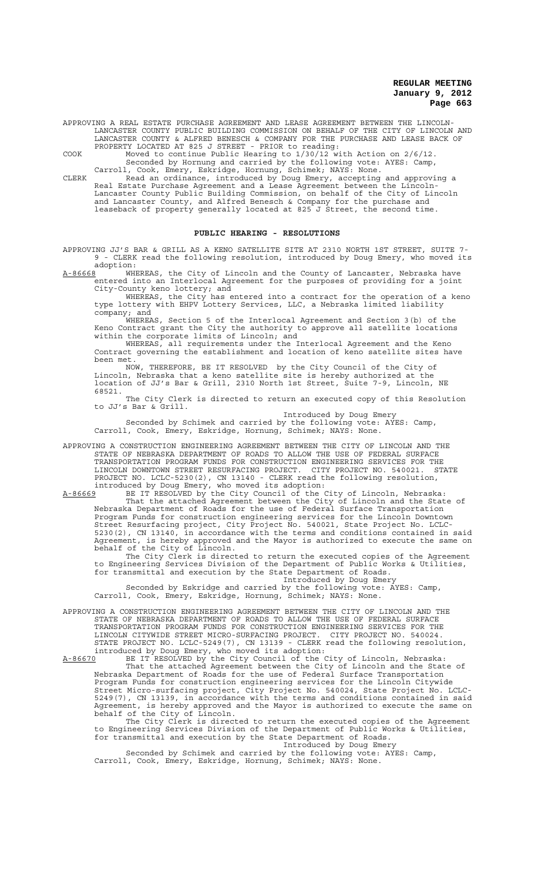APPROVING A REAL ESTATE PURCHASE AGREEMENT AND LEASE AGREEMENT BETWEEN THE LINCOLN-LANCASTER COUNTY PUBLIC BUILDING COMMISSION ON BEHALF OF THE CITY OF LINCOLN AND LANCASTER COUNTY & ALFRED BENESCH & COMPANY FOR THE PURCHASE AND LEASE BACK OF PROPERTY LOCATED AT 825 J STREET - PRIOR to reading:

COOK Moved to continue Public Hearing to 1/30/12 with Action on 2/6/12. Seconded by Hornung and carried by the following vote: AYES: Camp, Carroll, Cook, Emery, Eskridge, Hornung, Schimek; NAYS: None.

CLERK Read an ordinance, introduced by Doug Emery, accepting and approving a Real Estate Purchase Agreement and a Lease Agreement between the Lincoln-Lancaster County Public Building Commission, on behalf of the City of Lincoln and Lancaster County, and Alfred Benesch & Company for the purchase and leaseback of property generally located at 825 J Street, the second time.

### **PUBLIC HEARING - RESOLUTIONS**

APPROVING JJ'S BAR & GRILL AS A KENO SATELLITE SITE AT 2310 NORTH 1ST STREET, SUITE 7- 9 - CLERK read the following resolution, introduced by Doug Emery, who moved its

adoption:<br>A-86668 WH ....<br>WHEREAS, the City of Lincoln and the County of Lancaster, Nebraska have entered into an Interlocal Agreement for the purposes of providing for a joint City-County keno lottery; and

WHEREAS, the City has entered into a contract for the operation of a keno type lottery with EHPV Lottery Services, LLC, a Nebraska limited liability company; and

WHEREAS, Section 5 of the Interlocal Agreement and Section 3(b) of the Keno Contract grant the City the authority to approve all satellite locations within the corporate limits of Lincoln; and

WHEREAS, all requirements under the Interlocal Agreement and the Keno Contract governing the establishment and location of keno satellite sites have been met.

NOW, THEREFORE, BE IT RESOLVED by the City Council of the City of Lincoln, Nebraska that a keno satellite site is hereby authorized at the location of JJ's Bar & Grill, 2310 North 1st Street, Suite 7-9, Lincoln, NE 68521.

The City Clerk is directed to return an executed copy of this Resolution to JJ's Bar & Grill.

Introduced by Doug Emery

Seconded by Schimek and carried by the following vote: AYES: Camp, Carroll, Cook, Emery, Eskridge, Hornung, Schimek; NAYS: None.

APPROVING A CONSTRUCTION ENGINEERING AGREEMENT BETWEEN THE CITY OF LINCOLN AND THE STATE OF NEBRASKA DEPARTMENT OF ROADS TO ALLOW THE USE OF FEDERAL SURFACE TRANSPORTATION PROGRAM FUNDS FOR CONSTRUCTION ENGINEERING SERVICES FOR THE LINCOLN DOWNTOWN STREET RESURFACING PROJECT. CITY PROJECT NO. 540021. STATE PROJECT NO. LCLC-5230(2), CN 13140 - CLERK read the following resolution, introduced by Doug Emery, who moved its adoption:

A-86669 BE IT RESOLVED by the City Council of the City of Lincoln, Nebraska: That the attached Agreement between the City of Lincoln and the State of Nebraska Department of Roads for the use of Federal Surface Transportation Program Funds for construction engineering services for the Lincoln Downtown Street Resurfacing project, City Project No. 540021, State Project No. LCLC-5230(2), CN 13140, in accordance with the terms and conditions contained in said Agreement, is hereby approved and the Mayor is authorized to execute the same on behalf of the City of Lincoln.

The City Clerk is directed to return the executed copies of the Agreement to Engineering Services Division of the Department of Public Works & Utilities, for transmittal and execution by the State Department of Roads.

Introduced by Doug Emery

Seconded by Eskridge and carried by the following vote: AYES: Camp, Carroll, Cook, Emery, Eskridge, Hornung, Schimek; NAYS: None.

APPROVING A CONSTRUCTION ENGINEERING AGREEMENT BETWEEN THE CITY OF LINCOLN AND THE STATE OF NEBRASKA DEPARTMENT OF ROADS TO ALLOW THE USE OF FEDERAL SURFACE TRANSPORTATION PROGRAM FUNDS FOR CONSTRUCTION ENGINEERING SERVICES FOR THE LINCOLN CITYWIDE STREET MICRO-SURFACING PROJECT. CITY PROJECT NO. 540024. STATE PROJECT NO. LCLC-5249(7), CN 13139 - CLERK read the following resolution, introduced by Doug Emery, who moved its adoption:

A-86670 BE IT RESOLVED by the City Council of the City of Lincoln, Nebraska: That the attached Agreement between the City of Lincoln and the State of Nebraska Department of Roads for the use of Federal Surface Transportation Program Funds for construction engineering services for the Lincoln Citywide Street Micro-surfacing project, City Project No. 540024, State Project No. LCLC-5249(7), CN 13139, in accordance with the terms and conditions contained in said Agreement, is hereby approved and the Mayor is authorized to execute the same on behalf of the City of Lincoln.

The City Clerk is directed to return the executed copies of the Agreement to Engineering Services Division of the Department of Public Works & Utilities, for transmittal and execution by the State Department of Roads.

Introduced by Doug Emery

Seconded by Schimek and carried by the following vote: AYES: Camp, Carroll, Cook, Emery, Eskridge, Hornung, Schimek; NAYS: None.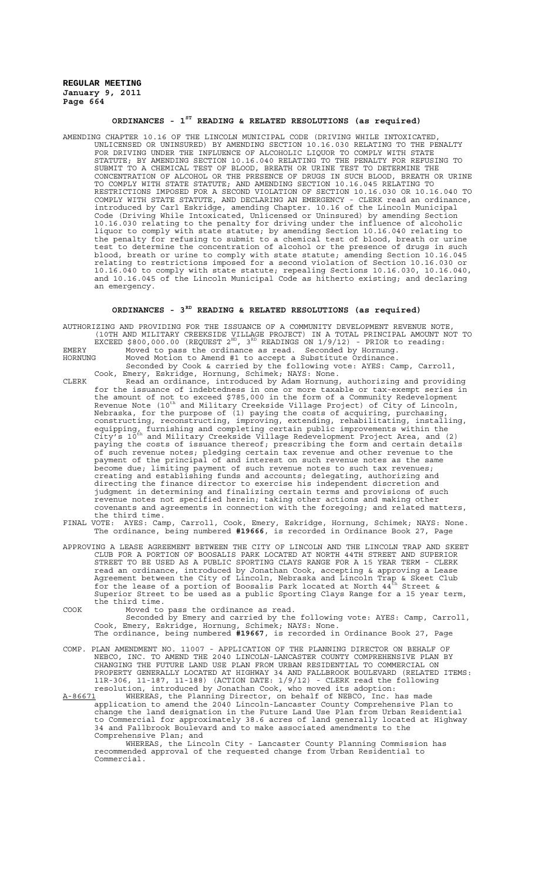# **ORDINANCES - 1ST READING & RELATED RESOLUTIONS (as required)**

AMENDING CHAPTER 10.16 OF THE LINCOLN MUNICIPAL CODE (DRIVING WHILE INTOXICATED, UNLICENSED OR UNINSURED) BY AMENDING SECTION 10.16.030 RELATING TO THE PENALTY FOR DRIVING UNDER THE INFLUENCE OF ALCOHOLIC LIQUOR TO COMPLY WITH STATE STATUTE; BY AMENDING SECTION 10.16.040 RELATING TO THE PENALTY FOR REFUSING TO SUBMIT TO A CHEMICAL TEST OF BLOOD, BREATH OR URINE TEST TO DETERMINE THE CONCENTRATION OF ALCOHOL OR THE PRESENCE OF DRUGS IN SUCH BLOOD, BREATH OR URINE TO COMPLY WITH STATE STATUTE; AND AMENDING SECTION 10.16.045 RELATING TO RESTRICTIONS IMPOSED FOR A SECOND VIOLATION OF SECTION 10.16.030 OR 10.16.040 TO COMPLY WITH STATE STATUTE, AND DECLARING AN EMERGENCY - CLERK read an ordinance, introduced by Carl Eskridge, amending Chapter. 10.16 of the Lincoln Municipal Code (Driving While Intoxicated, Unlicensed or Uninsured) by amending Section 10.16.030 relating to the penalty for driving under the influence of alcoholic liquor to comply with state statute; by amending Section 10.16.040 relating to the penalty for refusing to submit to a chemical test of blood, breath or urine test to determine the concentration of alcohol or the presence of drugs in such blood, breath or urine to comply with state statute; amending Section 10.16.045 relating to restrictions imposed for a second violation of Section 10.16.030 or 10.16.040 to comply with state statute; repealing Sections 10.16.030, 10.16.040, and 10.16.045 of the Lincoln Municipal Code as hitherto existing; and declaring an emergency.

# **ORDINANCES - 3RD READING & RELATED RESOLUTIONS (as required)**

AUTHORIZING AND PROVIDING FOR THE ISSUANCE OF A COMMUNITY DEVELOPMENT REVENUE NOTE, (10TH AND MILITARY CREEKSIDE VILLAGE PROJECT) IN A TOTAL PRINCIPAL AMOUNT NOT TO EXCEED \$800,000.00 (REQUEST  $2^{ND}$ ,  $3^{RD}$  READINGS ON  $1/9/12$ ) - PRIOR to reading:

EMERY Moved to pass the ordinance as read. Seconded by Hornung. HORNUNG Moved Motion to Amend #1 to accept a Substitute Ordinance.

Seconded by Cook & carried by the following vote: AYES: Camp, Carroll, Cook, Emery, Eskridge, Hornung, Schimek; NAYS: None.

- CLERK Read an ordinance, introduced by Adam Hornung, authorizing and providing for the issuance of indebtedness in one or more taxable or tax-exempt series in the amount of not to exceed \$785,000 in the form of a Community Redevelopment<br>Revenue Note (10<sup>th</sup> and Military Creekside Village Project) of City of Lincoln, Nebraska, for the purpose of (1) paying the costs of acquiring, purchasing, constructing, reconstructing, improving, extending, rehabilitating, installing, equipping, furnishing and completing certain public improvements within the<br>City's 10<sup>th</sup> and Military Creekside Village Redevelopment Project Area, and (2) paying the costs of issuance thereof; prescribing the form and certain details of such revenue notes; pledging certain tax revenue and other revenue to the payment of the principal of and interest on such revenue notes as the same become due; limiting payment of such revenue notes to such tax revenues; creating and establishing funds and accounts; delegating, authorizing and directing the finance director to exercise his independent discretion and judgment in determining and finalizing certain terms and provisions of such revenue notes not specified herein; taking other actions and making other covenants and agreements in connection with the foregoing; and related matters, the third time.<br>FINAL VOTE: AYES: Car
- FINAL VOTE: AYES: Camp, Carroll, Cook, Emery, Eskridge, Hornung, Schimek; NAYS: None. The ordinance, being numbered **#19666**, is recorded in Ordinance Book 27, Page
- APPROVING A LEASE AGREEMENT BETWEEN THE CITY OF LINCOLN AND THE LINCOLN TRAP AND SKEET CLUB FOR A PORTION OF BOOSALIS PARK LOCATED AT NORTH 44TH STREET AND SUPERIOR STREET TO BE USED AS A PUBLIC SPORTING CLAYS RANGE FOR A 15 YEAR TERM - CLERK read an ordinance, introduced by Jonathan Cook, accepting & approving a Lease Agreement between the City of Lincoln, Nebraska and Lincoln Trap & Skeet Club<br>for the lease of a portion of Boosalis Park located at North 44<sup>th</sup> Street & Superior Street to be used as a public Sporting Clays Range for a 15 year term, the third time.

COOK Moved to pass the ordinance as read. Seconded by Emery and carried by the following vote: AYES: Camp, Carroll, Cook, Emery, Eskridge, Hornung, Schimek; NAYS: None. The ordinance, being numbered **#19667**, is recorded in Ordinance Book 27, Page

- COMP. PLAN AMENDMENT NO. 11007 APPLICATION OF THE PLANNING DIRECTOR ON BEHALF OF NEBCO, INC. TO AMEND THE 2040 LINCOLN-LANCASTER COUNTY COMPREHENSIVE PLAN BY CHANGING THE FUTURE LAND USE PLAN FROM URBAN RESIDENTIAL TO COMMERCIAL ON PROPERTY GENERALLY LOCATED AT HIGHWAY 34 AND FALLBROOK BOULEVARD (RELATED ITEMS: 11R-306, 11-187, 11-188) (ACTION DATE: 1/9/12) - CLERK read the following resolution, introduced by Jonathan Cook, who moved its adoption:
- A-86671 MHEREAS, the Planning Director, on behalf of NEBCO, Inc. has made application to amend the 2040 Lincoln-Lancaster County Comprehensive Plan to change the land designation in the Future Land Use Plan from Urban Residential to Commercial for approximately 38.6 acres of land generally located at Highway 34 and Fallbrook Boulevard and to make associated amendments to the Comprehensive Plan; and

WHEREAS, the Lincoln City - Lancaster County Planning Commission has recommended approval of the requested change from Urban Residential to Commercial.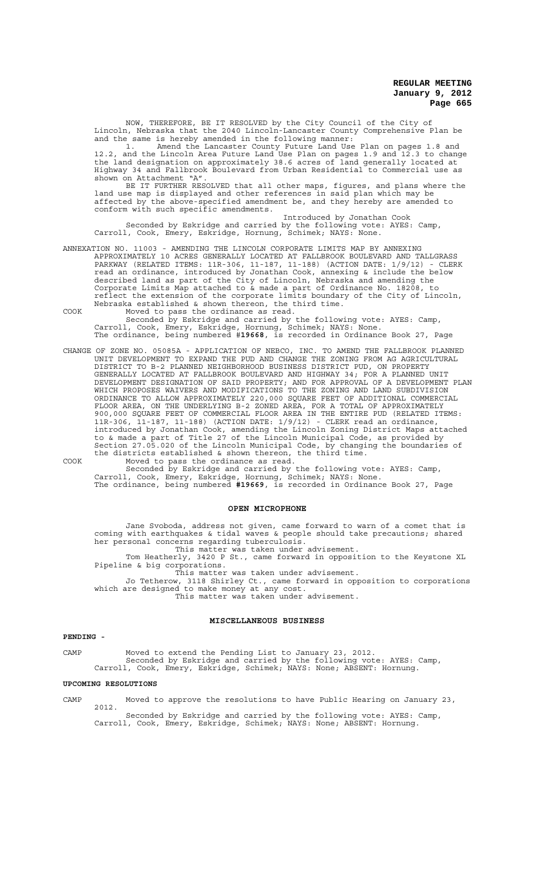NOW, THEREFORE, BE IT RESOLVED by the City Council of the City of Lincoln, Nebraska that the 2040 Lincoln-Lancaster County Comprehensive Plan be and the same is hereby amended in the following manner:

1. Amend the Lancaster County Future Land Use Plan on pages 1.8 and 12.2, and the Lincoln Area Future Land Use Plan on pages 1.9 and 12.3 to change the land designation on approximately 38.6 acres of land generally located at Highway 34 and Fallbrook Boulevard from Urban Residential to Commercial use as shown on Attachment "A".

BE IT FURTHER RESOLVED that all other maps, figures, and plans where the land use map is displayed and other references in said plan which may be affected by the above-specified amendment be, and they hereby are amended to conform with such specific amendments.

Introduced by Jonathan Cook Seconded by Eskridge and carried by the following vote: AYES: Camp, Carroll, Cook, Emery, Eskridge, Hornung, Schimek; NAYS: None.

ANNEXATION NO. 11003 - AMENDING THE LINCOLN CORPORATE LIMITS MAP BY ANNEXING APPROXIMATELY 10 ACRES GENERALLY LOCATED AT FALLBROOK BOULEVARD AND TALLGRASS PARKWAY (RELATED ITEMS: 11R-306, 11-187, 11-188) (ACTION DATE: 1/9/12) - CLERK read an ordinance, introduced by Jonathan Cook, annexing & include the below described land as part of the City of Lincoln, Nebraska and amending the Corporate Limits Map attached to & made a part of Ordinance No. 18208, to reflect the extension of the corporate limits boundary of the City of Lincoln, Nebraska established & shown thereon, the third time.

COOK Moved to pass the ordinance as read. Seconded by Eskridge and carried by the following vote: AYES: Camp, Carroll, Cook, Emery, Eskridge, Hornung, Schimek; NAYS: None.

The ordinance, being numbered #**19668**, is recorded in Ordinance Book 27, Page

CHANGE OF ZONE NO. 05085A - APPLICATION OF NEBCO, INC. TO AMEND THE FALLBROOK PLANNED UNIT DEVELOPMENT TO EXPAND THE PUD AND CHANGE THE ZONING FROM AG AGRICULTURAL DISTRICT TO B-2 PLANNED NEIGHBORHOOD BUSINESS DISTRICT PUD, ON PROPERTY GENERALLY LOCATED AT FALLBROOK BOULEVARD AND HIGHWAY 34; FOR A PLANNED UNIT DEVELOPMENT DESIGNATION OF SAID PROPERTY; AND FOR APPROVAL OF A DEVELOPMENT PLAN WHICH PROPOSES WAIVERS AND MODIFICATIONS TO THE ZONING AND LAND SUBDIVISION ORDINANCE TO ALLOW APPROXIMATELY 220,000 SQUARE FEET OF ADDITIONAL COMMERCIAL FLOOR AREA, ON THE UNDERLYING B-2 ZONED AREA, FOR A TOTAL OF APPROXIMATELY 900,000 SQUARE FEET OF COMMERCIAL FLOOR AREA IN THE ENTIRE PUD (RELATED ITEMS: 11R-306, 11-187, 11-188) (ACTION DATE: 1/9/12) - CLERK read an ordinance, introduced by Jonathan Cook, amending the Lincoln Zoning District Maps attached to & made a part of Title 27 of the Lincoln Municipal Code, as provided by Section 27.05.020 of the Lincoln Municipal Code, by changing the boundaries of the districts established & shown thereon, the third time. COOK Moved to pass the ordinance as read.

Seconded by Eskridge and carried by the following vote: AYES: Camp, Carroll, Cook, Emery, Eskridge, Hornung, Schimek; NAYS: None. The ordinance, being numbered **#19669**, is recorded in Ordinance Book 27, Page

#### **OPEN MICROPHONE**

Jane Svoboda, address not given, came forward to warn of a comet that is coming with earthquakes & tidal waves & people should take precautions; shared her personal concerns regarding tuberculosis. This matter was taken under advisement.

Tom Heatherly, 3420 P St., came forward in opposition to the Keystone XL Pipeline & big corporations.

This matter was taken under advisement. Jo Tetherow, 3118 Shirley Ct., came forward in opposition to corporations which are designed to make money at any cost.

This matter was taken under advisement.

# **MISCELLANEOUS BUSINESS**

#### **PENDING -**

CAMP Moved to extend the Pending List to January 23, 2012. Seconded by Eskridge and carried by the following vote: AYES: Camp, Carroll, Cook, Emery, Eskridge, Schimek; NAYS: None; ABSENT: Hornung.

#### **UPCOMING RESOLUTIONS**

CAMP Moved to approve the resolutions to have Public Hearing on January 23, 2012.

Seconded by Eskridge and carried by the following vote: AYES: Camp, Carroll, Cook, Emery, Eskridge, Schimek; NAYS: None; ABSENT: Hornung.